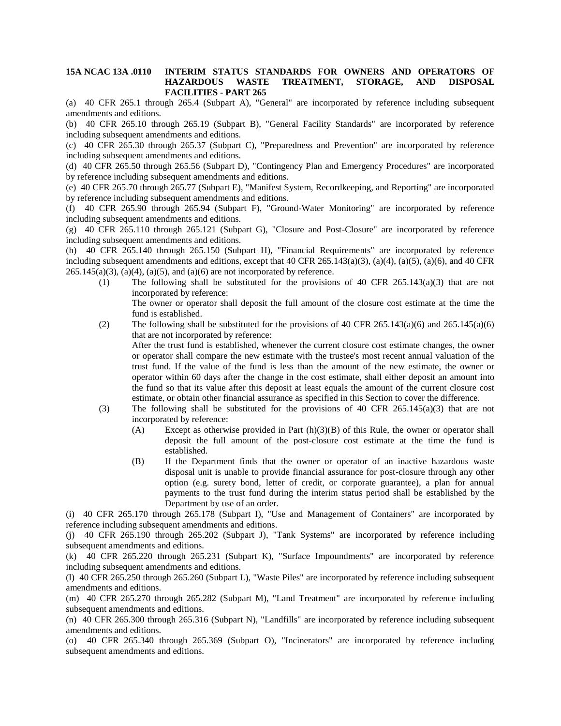## **15A NCAC 13A .0110 INTERIM STATUS STANDARDS FOR OWNERS AND OPERATORS OF HAZARDOUS WASTE TREATMENT, STORAGE, AND DISPOSAL FACILITIES - PART 265**

(a) 40 CFR 265.1 through 265.4 (Subpart A), "General" are incorporated by reference including subsequent amendments and editions.

(b) 40 CFR 265.10 through 265.19 (Subpart B), "General Facility Standards" are incorporated by reference including subsequent amendments and editions.

(c) 40 CFR 265.30 through 265.37 (Subpart C), "Preparedness and Prevention" are incorporated by reference including subsequent amendments and editions.

(d) 40 CFR 265.50 through 265.56 (Subpart D), "Contingency Plan and Emergency Procedures" are incorporated by reference including subsequent amendments and editions.

(e) 40 CFR 265.70 through 265.77 (Subpart E), "Manifest System, Recordkeeping, and Reporting" are incorporated by reference including subsequent amendments and editions.

(f) 40 CFR 265.90 through 265.94 (Subpart F), "Ground-Water Monitoring" are incorporated by reference including subsequent amendments and editions.

(g) 40 CFR 265.110 through 265.121 (Subpart G), "Closure and Post-Closure" are incorporated by reference including subsequent amendments and editions.

(h) 40 CFR 265.140 through 265.150 (Subpart H), "Financial Requirements" are incorporated by reference including subsequent amendments and editions, except that 40 CFR 265.143(a)(3), (a)(4), (a)(5), (a)(6), and 40 CFR  $265.145(a)(3)$ ,  $(a)(4)$ ,  $(a)(5)$ , and  $(a)(6)$  are not incorporated by reference.

(1) The following shall be substituted for the provisions of 40 CFR 265.143(a)(3) that are not incorporated by reference:

The owner or operator shall deposit the full amount of the closure cost estimate at the time the fund is established.

- (2) The following shall be substituted for the provisions of 40 CFR 265.143(a)(6) and 265.145(a)(6) that are not incorporated by reference: After the trust fund is established, whenever the current closure cost estimate changes, the owner or operator shall compare the new estimate with the trustee's most recent annual valuation of the trust fund. If the value of the fund is less than the amount of the new estimate, the owner or operator within 60 days after the change in the cost estimate, shall either deposit an amount into the fund so that its value after this deposit at least equals the amount of the current closure cost estimate, or obtain other financial assurance as specified in this Section to cover the difference. (3) The following shall be substituted for the provisions of 40 CFR  $265.145(a)(3)$  that are not incorporated by reference:
	- (A) Except as otherwise provided in Part  $(h)(3)(B)$  of this Rule, the owner or operator shall deposit the full amount of the post-closure cost estimate at the time the fund is established.
	- (B) If the Department finds that the owner or operator of an inactive hazardous waste disposal unit is unable to provide financial assurance for post-closure through any other option (e.g. surety bond, letter of credit, or corporate guarantee), a plan for annual payments to the trust fund during the interim status period shall be established by the Department by use of an order.

(i) 40 CFR 265.170 through 265.178 (Subpart I), "Use and Management of Containers" are incorporated by reference including subsequent amendments and editions.

(j) 40 CFR 265.190 through 265.202 (Subpart J), "Tank Systems" are incorporated by reference including subsequent amendments and editions.

(k) 40 CFR 265.220 through 265.231 (Subpart K), "Surface Impoundments" are incorporated by reference including subsequent amendments and editions.

(l) 40 CFR 265.250 through 265.260 (Subpart L), "Waste Piles" are incorporated by reference including subsequent amendments and editions.

(m) 40 CFR 265.270 through 265.282 (Subpart M), "Land Treatment" are incorporated by reference including subsequent amendments and editions.

(n) 40 CFR 265.300 through 265.316 (Subpart N), "Landfills" are incorporated by reference including subsequent amendments and editions.

(o) 40 CFR 265.340 through 265.369 (Subpart O), "Incinerators" are incorporated by reference including subsequent amendments and editions.